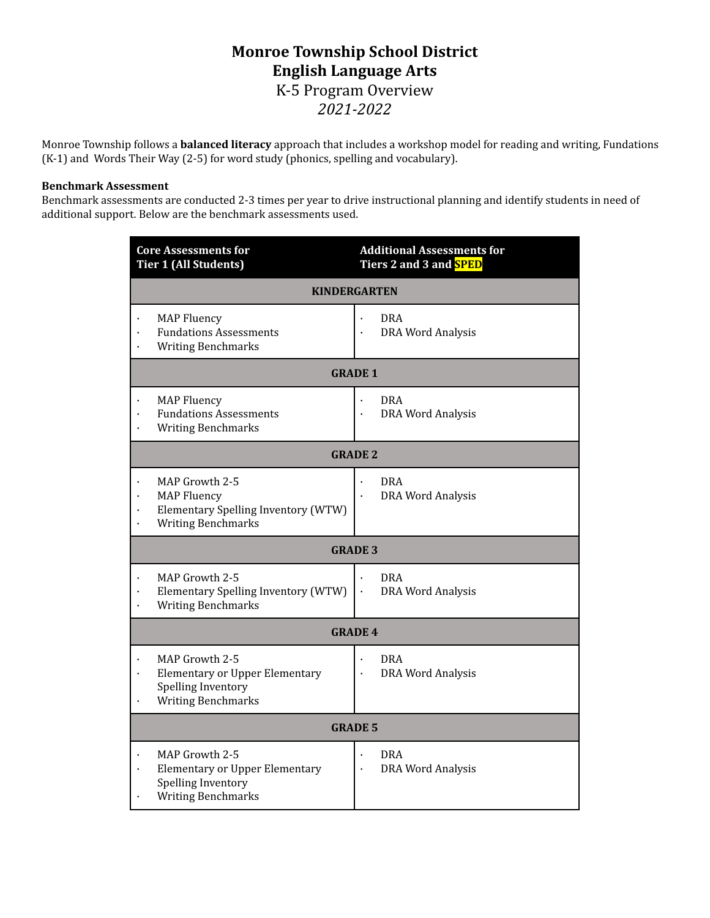# **Monroe Township School District English Language Arts** K-5 Program Overview *2021-2022*

Monroe Township follows a **balanced literacy** approach that includes a workshop model for reading and writing, Fundations (K-1) and Words Their Way (2-5) for word study (phonics, spelling and vocabulary).

#### **Benchmark Assessment**

Benchmark assessments are conducted 2-3 times per year to drive instructional planning and identify students in need of additional support. Below are the benchmark assessments used.

| <b>Core Assessments for</b><br><b>Tier 1 (All Students)</b>                                                | <b>Additional Assessments for</b><br>Tiers 2 and 3 and <mark>SPED</mark> |  |  |  |  |
|------------------------------------------------------------------------------------------------------------|--------------------------------------------------------------------------|--|--|--|--|
| <b>KINDERGARTEN</b>                                                                                        |                                                                          |  |  |  |  |
| <b>MAP Fluency</b><br><b>Fundations Assessments</b><br><b>Writing Benchmarks</b>                           | <b>DRA</b><br><b>DRA Word Analysis</b>                                   |  |  |  |  |
| <b>GRADE 1</b>                                                                                             |                                                                          |  |  |  |  |
| <b>MAP Fluency</b><br><b>Fundations Assessments</b><br><b>Writing Benchmarks</b>                           | <b>DRA</b><br><b>DRA Word Analysis</b>                                   |  |  |  |  |
| <b>GRADE 2</b>                                                                                             |                                                                          |  |  |  |  |
| MAP Growth 2-5<br><b>MAP Fluency</b><br>Elementary Spelling Inventory (WTW)<br><b>Writing Benchmarks</b>   | <b>DRA</b><br><b>DRA Word Analysis</b>                                   |  |  |  |  |
| <b>GRADE 3</b>                                                                                             |                                                                          |  |  |  |  |
| MAP Growth 2-5<br>Elementary Spelling Inventory (WTW)<br><b>Writing Benchmarks</b>                         | <b>DRA</b><br><b>DRA Word Analysis</b><br>$\bullet$                      |  |  |  |  |
| <b>GRADE 4</b>                                                                                             |                                                                          |  |  |  |  |
| MAP Growth 2-5<br><b>Elementary or Upper Elementary</b><br>Spelling Inventory<br><b>Writing Benchmarks</b> | <b>DRA</b><br><b>DRA Word Analysis</b>                                   |  |  |  |  |
| <b>GRADE 5</b>                                                                                             |                                                                          |  |  |  |  |
| MAP Growth 2-5<br><b>Elementary or Upper Elementary</b><br>Spelling Inventory<br><b>Writing Benchmarks</b> | <b>DRA</b><br><b>DRA Word Analysis</b>                                   |  |  |  |  |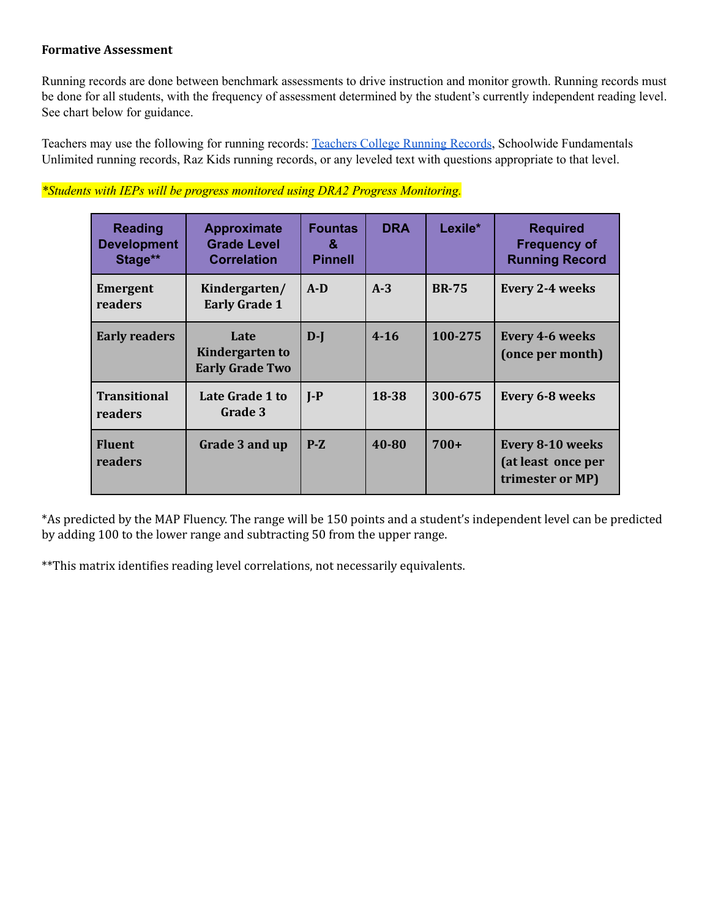### **Formative Assessment**

Running records are done between benchmark assessments to drive instruction and monitor growth. Running records must be done for all students, with the frequency of assessment determined by the student's currently independent reading level. See chart below for guidance.

Teachers may use the following for running records: [Teachers](https://drive.google.com/drive/folders/0B1ApLKKSe5JWbmtTeWFCcnNpY1U?resourcekey=0-oXCqhY4xoYc3Mvm5L9gJQw&usp=sharing) College Running Records, Schoolwide Fundamentals Unlimited running records, Raz Kids running records, or any leveled text with questions appropriate to that level.

| <b>Reading</b><br><b>Development</b><br>Stage** | <b>Approximate</b><br><b>Grade Level</b><br><b>Correlation</b> | <b>Fountas</b><br>&<br><b>Pinnell</b> | <b>DRA</b> | Lexile*      | <b>Required</b><br><b>Frequency of</b><br><b>Running Record</b>   |
|-------------------------------------------------|----------------------------------------------------------------|---------------------------------------|------------|--------------|-------------------------------------------------------------------|
| <b>Emergent</b><br>readers                      | Kindergarten/<br><b>Early Grade 1</b>                          | $A-D$                                 | $A-3$      | <b>BR-75</b> | <b>Every 2-4 weeks</b>                                            |
| <b>Early readers</b>                            | Late<br>Kindergarten to<br><b>Early Grade Two</b>              | $D-I$                                 | $4 - 16$   | 100-275      | <b>Every 4-6 weeks</b><br>(once per month)                        |
| <b>Transitional</b><br>readers                  | Late Grade 1 to<br>Grade 3                                     | $I-P$                                 | 18-38      | 300-675      | Every 6-8 weeks                                                   |
| <b>Fluent</b><br>readers                        | Grade 3 and up                                                 | $P-Z$                                 | 40-80      | $700+$       | <b>Every 8-10 weeks</b><br>(at least once per<br>trimester or MP) |

## *\*Students with IEPs will be progress monitored using DRA2 Progress Monitoring.*

\*As predicted by the MAP Fluency. The range will be 150 points and a student's independent level can be predicted by adding 100 to the lower range and subtracting 50 from the upper range.

\*\*This matrix identifies reading level correlations, not necessarily equivalents.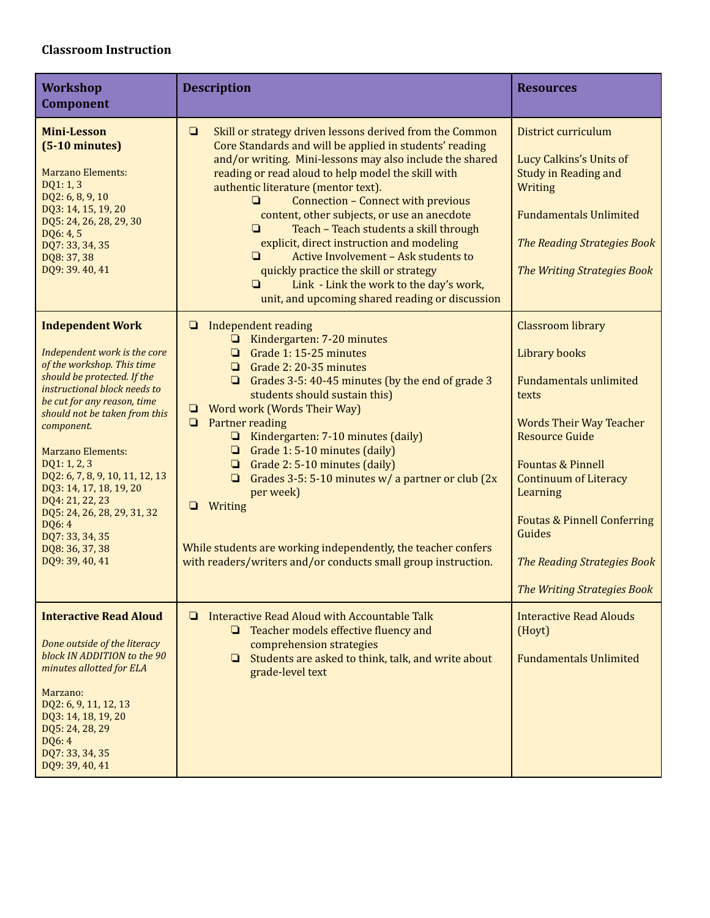## **Classroom Instruction**

| <b>Workshop</b><br><b>Component</b>                                                                                                                                                                                                                                                                                                                                                                                                                               | <b>Description</b>                                                                                                                                                                                                                                                                                                                                                                                                                                                                                                                                                                                                                                                                                | <b>Resources</b>                                                                                                                                                                                                                                                                                                                                    |
|-------------------------------------------------------------------------------------------------------------------------------------------------------------------------------------------------------------------------------------------------------------------------------------------------------------------------------------------------------------------------------------------------------------------------------------------------------------------|---------------------------------------------------------------------------------------------------------------------------------------------------------------------------------------------------------------------------------------------------------------------------------------------------------------------------------------------------------------------------------------------------------------------------------------------------------------------------------------------------------------------------------------------------------------------------------------------------------------------------------------------------------------------------------------------------|-----------------------------------------------------------------------------------------------------------------------------------------------------------------------------------------------------------------------------------------------------------------------------------------------------------------------------------------------------|
| <b>Mini-Lesson</b><br>$(5-10 \text{ minutes})$<br><b>Marzano Elements:</b><br>DQ1: 1, 3<br>DQ2: 6, 8, 9, 10<br>DQ3: 14, 15, 19, 20<br>DQ5: 24, 26, 28, 29, 30<br>DQ6: 4, 5<br>DQ7: 33, 34, 35<br>DQ8: 37, 38<br>DQ9: 39.40, 41                                                                                                                                                                                                                                    | $\Box$<br>Skill or strategy driven lessons derived from the Common<br>Core Standards and will be applied in students' reading<br>and/or writing. Mini-lessons may also include the shared<br>reading or read aloud to help model the skill with<br>authentic literature (mentor text).<br>$\Box$<br><b>Connection - Connect with previous</b><br>content, other subjects, or use an anecdote<br>$\Box$<br>Teach - Teach students a skill through<br>explicit, direct instruction and modeling<br>Active Involvement - Ask students to<br>$\Box$<br>quickly practice the skill or strategy<br>Link - Link the work to the day's work,<br>$\Box$<br>unit, and upcoming shared reading or discussion | District curriculum<br>Lucy Calkins's Units of<br><b>Study in Reading and</b><br>Writing<br><b>Fundamentals Unlimited</b><br><b>The Reading Strategies Book</b><br>The Writing Strategies Book                                                                                                                                                      |
| <b>Independent Work</b><br>Independent work is the core<br>of the workshop. This time<br>should be protected. If the<br>instructional block needs to<br>be cut for any reason, time<br>should not be taken from this<br>component.<br><b>Marzano Elements:</b><br>DQ1: 1, 2, 3<br>DQ2: 6, 7, 8, 9, 10, 11, 12, 13<br>DQ3: 14, 17, 18, 19, 20<br>DQ4: 21, 22, 23<br>DQ5: 24, 26, 28, 29, 31, 32<br>DQ6: 4<br>DQ7: 33, 34, 35<br>DQ8: 36, 37, 38<br>DQ9: 39, 40, 41 | Independent reading<br>❏<br>Kindergarten: 7-20 minutes<br>o.<br>Grade 1: 15-25 minutes<br>$\Box$<br>Grade 2: 20-35 minutes<br>Grades 3-5: 40-45 minutes (by the end of grade 3<br>❏<br>students should sustain this)<br><b>Word work (Words Their Way)</b><br>▫<br>Partner reading<br>$\Box$<br>$\Box$ Kindergarten: 7-10 minutes (daily)<br>Grade 1: 5-10 minutes (daily)<br>$\begin{array}{c} \square \end{array}$<br>Grade 2: 5-10 minutes (daily)<br>$\Box$<br>Grades 3-5: 5-10 minutes $w/$ a partner or club (2x)<br>▫<br>per week)<br>Writing<br>❏<br>While students are working independently, the teacher confers<br>with readers/writers and/or conducts small group instruction.       | <b>Classroom library</b><br>Library books<br><b>Fundamentals unlimited</b><br>texts<br><b>Words Their Way Teacher</b><br><b>Resource Guide</b><br><b>Fountas &amp; Pinnell</b><br><b>Continuum of Literacy</b><br>Learning<br><b>Foutas &amp; Pinnell Conferring</b><br>Guides<br><b>The Reading Strategies Book</b><br>The Writing Strategies Book |
| <b>Interactive Read Aloud</b><br>Done outside of the literacy<br>block IN ADDITION to the 90<br>minutes allotted for ELA<br>Marzano:<br>DQ2: 6, 9, 11, 12, 13<br>DQ3: 14, 18, 19, 20<br>DQ5: 24, 28, 29<br>DQ6: 4<br>DQ7: 33, 34, 35<br>DQ9: 39, 40, 41                                                                                                                                                                                                           | Interactive Read Aloud with Accountable Talk<br>❏<br>Teacher models effective fluency and<br>▫<br>comprehension strategies<br>Students are asked to think, talk, and write about<br>O.<br>grade-level text                                                                                                                                                                                                                                                                                                                                                                                                                                                                                        | <b>Interactive Read Alouds</b><br>(Hoyt)<br><b>Fundamentals Unlimited</b>                                                                                                                                                                                                                                                                           |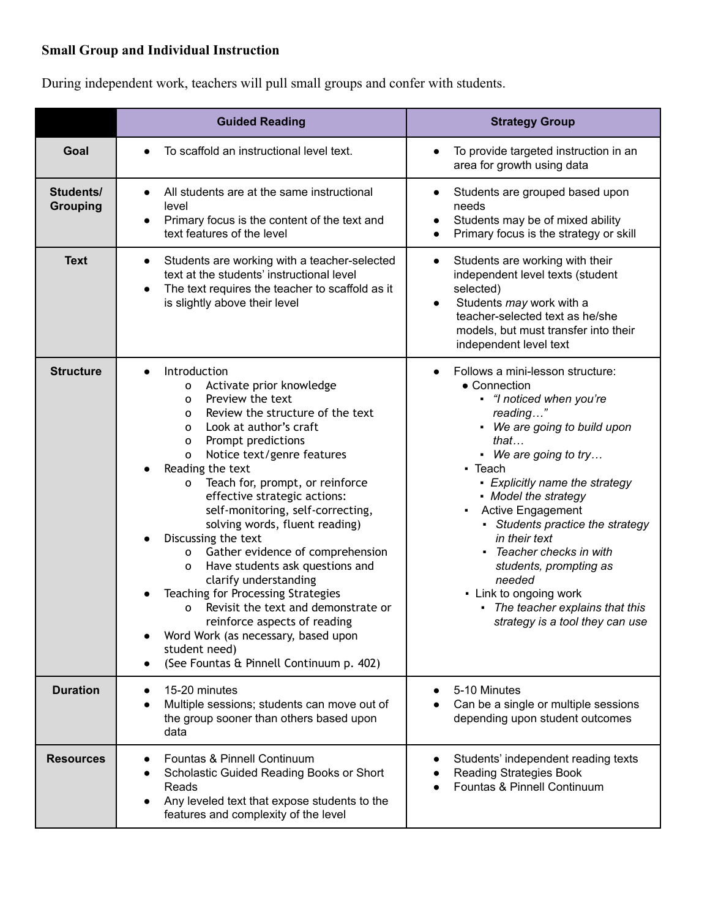# **Small Group and Individual Instruction**

During independent work, teachers will pull small groups and confer with students.

|                              | <b>Guided Reading</b>                                                                                                                                                                                                                                                                                                                                                                                                                                                                                                                                                                                                                                                                                                                                         | <b>Strategy Group</b>                                                                                                                                                                                                                                                                                                                                                                                                                                                                   |  |  |
|------------------------------|---------------------------------------------------------------------------------------------------------------------------------------------------------------------------------------------------------------------------------------------------------------------------------------------------------------------------------------------------------------------------------------------------------------------------------------------------------------------------------------------------------------------------------------------------------------------------------------------------------------------------------------------------------------------------------------------------------------------------------------------------------------|-----------------------------------------------------------------------------------------------------------------------------------------------------------------------------------------------------------------------------------------------------------------------------------------------------------------------------------------------------------------------------------------------------------------------------------------------------------------------------------------|--|--|
| Goal                         | To scaffold an instructional level text.                                                                                                                                                                                                                                                                                                                                                                                                                                                                                                                                                                                                                                                                                                                      | To provide targeted instruction in an<br>area for growth using data                                                                                                                                                                                                                                                                                                                                                                                                                     |  |  |
| Students/<br><b>Grouping</b> | All students are at the same instructional<br>$\bullet$<br>level<br>Primary focus is the content of the text and<br>$\bullet$<br>text features of the level                                                                                                                                                                                                                                                                                                                                                                                                                                                                                                                                                                                                   | Students are grouped based upon<br>$\bullet$<br>needs<br>Students may be of mixed ability<br>$\bullet$<br>Primary focus is the strategy or skill                                                                                                                                                                                                                                                                                                                                        |  |  |
| <b>Text</b>                  | Students are working with a teacher-selected<br>$\bullet$<br>text at the students' instructional level<br>The text requires the teacher to scaffold as it<br>$\bullet$<br>is slightly above their level                                                                                                                                                                                                                                                                                                                                                                                                                                                                                                                                                       | Students are working with their<br>$\bullet$<br>independent level texts (student<br>selected)<br>Students may work with a<br>teacher-selected text as he/she<br>models, but must transfer into their<br>independent level text                                                                                                                                                                                                                                                          |  |  |
| <b>Structure</b>             | Introduction<br>Activate prior knowledge<br>0<br>Preview the text<br>0<br>Review the structure of the text<br>0<br>Look at author's craft<br>0<br>Prompt predictions<br>o<br>Notice text/genre features<br>$\mathbf 0$<br>Reading the text<br>Teach for, prompt, or reinforce<br>0<br>effective strategic actions:<br>self-monitoring, self-correcting,<br>solving words, fluent reading)<br>Discussing the text<br>Gather evidence of comprehension<br>o<br>Have students ask questions and<br>0<br>clarify understanding<br>Teaching for Processing Strategies<br>Revisit the text and demonstrate or<br>o<br>reinforce aspects of reading<br>Word Work (as necessary, based upon<br>student need)<br>(See Fountas & Pinnell Continuum p. 402)<br>$\bullet$ | Follows a mini-lesson structure:<br>• Connection<br>• "I noticed when you're<br>reading"<br>• We are going to build upon<br>that<br>• We are going to try<br>$\blacksquare$ Teach<br>• Explicitly name the strategy<br>• Model the strategy<br>Active Engagement<br>٠<br>- Students practice the strategy<br>in their text<br>Teacher checks in with<br>students, prompting as<br>needed<br>- Link to ongoing work<br>The teacher explains that this<br>strategy is a tool they can use |  |  |
| <b>Duration</b>              | 15-20 minutes<br>Multiple sessions; students can move out of<br>the group sooner than others based upon<br>data                                                                                                                                                                                                                                                                                                                                                                                                                                                                                                                                                                                                                                               | 5-10 Minutes<br>Can be a single or multiple sessions<br>depending upon student outcomes                                                                                                                                                                                                                                                                                                                                                                                                 |  |  |
| <b>Resources</b>             | Fountas & Pinnell Continuum<br>Scholastic Guided Reading Books or Short<br>Reads<br>Any leveled text that expose students to the<br>features and complexity of the level                                                                                                                                                                                                                                                                                                                                                                                                                                                                                                                                                                                      | Students' independent reading texts<br><b>Reading Strategies Book</b><br>Fountas & Pinnell Continuum                                                                                                                                                                                                                                                                                                                                                                                    |  |  |